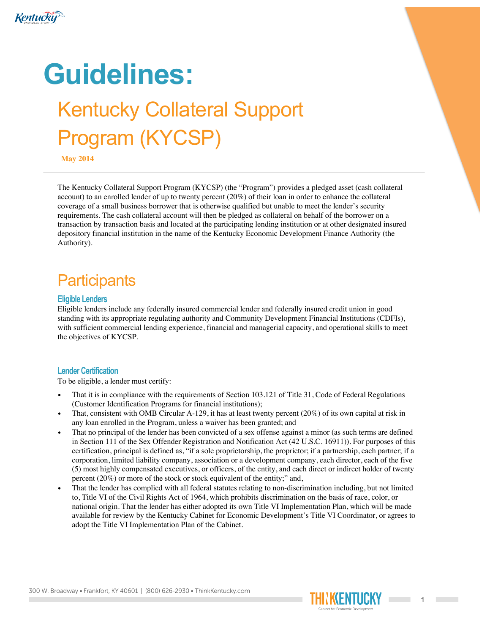

# **Guidelines:** Kentucky Collateral Support Program (KYCSP)

**May 2014**

The Kentucky Collateral Support Program (KYCSP) (the "Program") provides a pledged asset (cash collateral account) to an enrolled lender of up to twenty percent (20%) of their loan in order to enhance the collateral coverage of a small business borrower that is otherwise qualified but unable to meet the lender's security requirements. The cash collateral account will then be pledged as collateral on behalf of the borrower on a transaction by transaction basis and located at the participating lending institution or at other designated insured depository financial institution in the name of the Kentucky Economic Development Finance Authority (the Authority).

# **Participants**

#### **Eligible Lenders**

Eligible lenders include any federally insured commercial lender and federally insured credit union in good standing with its appropriate regulating authority and Community Development Financial Institutions (CDFIs), with sufficient commercial lending experience, financial and managerial capacity, and operational skills to meet the objectives of KYCSP.

#### **Lender Certification**

To be eligible, a lender must certify:

- That it is in compliance with the requirements of Section 103.121 of Title 31, Code of Federal Regulations (Customer Identification Programs for financial institutions);
- That, consistent with OMB Circular A-129, it has at least twenty percent (20%) of its own capital at risk in any loan enrolled in the Program, unless a waiver has been granted; and
- That no principal of the lender has been convicted of a sex offense against a minor (as such terms are defined in Section 111 of the Sex Offender Registration and Notification Act (42 U.S.C. 16911)). For purposes of this certification, principal is defined as, "if a sole proprietorship, the proprietor; if a partnership, each partner; if a corporation, limited liability company, association or a development company, each director, each of the five (5) most highly compensated executives, or officers, of the entity, and each direct or indirect holder of twenty percent (20%) or more of the stock or stock equivalent of the entity;" and,
- That the lender has complied with all federal statutes relating to non-discrimination including, but not limited to, Title VI of the Civil Rights Act of 1964, which prohibits discrimination on the basis of race, color, or national origin. That the lender has either adopted its own Title VI Implementation Plan, which will be made available for review by the Kentucky Cabinet for Economic Development's Title VI Coordinator, or agrees to adopt the Title VI Implementation Plan of the Cabinet.

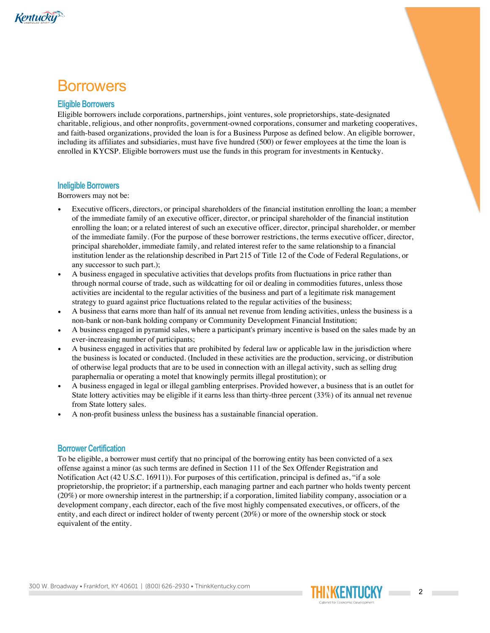

### **Borrowers**

#### **Eligible Borrowers**

Eligible borrowers include corporations, partnerships, joint ventures, sole proprietorships, state-designated charitable, religious, and other nonprofits, government-owned corporations, consumer and marketing cooperatives, and faith-based organizations, provided the loan is for a Business Purpose as defined below. An eligible borrower, including its affiliates and subsidiaries, must have five hundred (500) or fewer employees at the time the loan is enrolled in KYCSP. Eligible borrowers must use the funds in this program for investments in Kentucky.

#### **Ineligible Borrowers**

Borrowers may not be:

- Executive officers, directors, or principal shareholders of the financial institution enrolling the loan; a member of the immediate family of an executive officer, director, or principal shareholder of the financial institution enrolling the loan; or a related interest of such an executive officer, director, principal shareholder, or member of the immediate family. (For the purpose of these borrower restrictions, the terms executive officer, director, principal shareholder, immediate family, and related interest refer to the same relationship to a financial institution lender as the relationship described in Part 215 of Title 12 of the Code of Federal Regulations, or any successor to such part.);
- A business engaged in speculative activities that develops profits from fluctuations in price rather than through normal course of trade, such as wildcatting for oil or dealing in commodities futures, unless those activities are incidental to the regular activities of the business and part of a legitimate risk management strategy to guard against price fluctuations related to the regular activities of the business;
- A business that earns more than half of its annual net revenue from lending activities, unless the business is a non-bank or non-bank holding company or Community Development Financial Institution;
- A business engaged in pyramid sales, where a participant's primary incentive is based on the sales made by an ever-increasing number of participants;
- A business engaged in activities that are prohibited by federal law or applicable law in the jurisdiction where the business is located or conducted. (Included in these activities are the production, servicing, or distribution of otherwise legal products that are to be used in connection with an illegal activity, such as selling drug paraphernalia or operating a motel that knowingly permits illegal prostitution); or
- A business engaged in legal or illegal gambling enterprises. Provided however, a business that is an outlet for State lottery activities may be eligible if it earns less than thirty-three percent (33%) of its annual net revenue from State lottery sales.
- A non-profit business unless the business has a sustainable financial operation.

#### **Borrower Certification**

To be eligible, a borrower must certify that no principal of the borrowing entity has been convicted of a sex offense against a minor (as such terms are defined in Section 111 of the Sex Offender Registration and Notification Act (42 U.S.C. 16911)). For purposes of this certification, principal is defined as, "if a sole proprietorship, the proprietor; if a partnership, each managing partner and each partner who holds twenty percent (20%) or more ownership interest in the partnership; if a corporation, limited liability company, association or a development company, each director, each of the five most highly compensated executives, or officers, of the entity, and each direct or indirect holder of twenty percent (20%) or more of the ownership stock or stock equivalent of the entity.

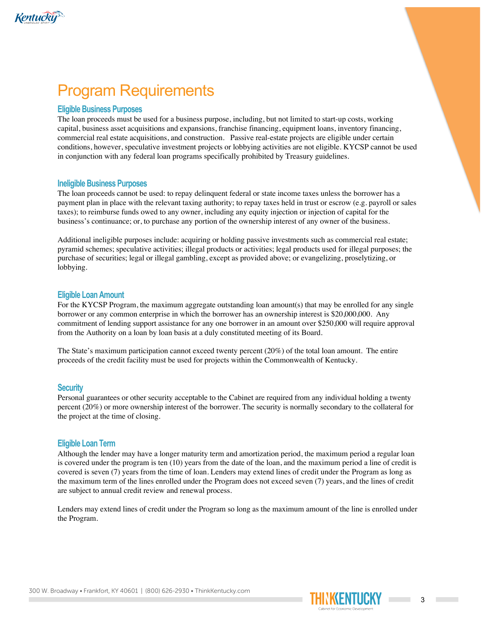

# Program Requirements

#### **Eligible Business Purposes**

The loan proceeds must be used for a business purpose, including, but not limited to start-up costs, working capital, business asset acquisitions and expansions, franchise financing, equipment loans, inventory financing, commercial real estate acquisitions, and construction. Passive real-estate projects are eligible under certain conditions, however, speculative investment projects or lobbying activities are not eligible. KYCSP cannot be used in conjunction with any federal loan programs specifically prohibited by Treasury guidelines.

#### **Ineligible Business Purposes**

The loan proceeds cannot be used: to repay delinquent federal or state income taxes unless the borrower has a payment plan in place with the relevant taxing authority; to repay taxes held in trust or escrow (e.g. payroll or sales taxes); to reimburse funds owed to any owner, including any equity injection or injection of capital for the business's continuance; or, to purchase any portion of the ownership interest of any owner of the business.

Additional ineligible purposes include: acquiring or holding passive investments such as commercial real estate; pyramid schemes; speculative activities; illegal products or activities; legal products used for illegal purposes; the purchase of securities; legal or illegal gambling, except as provided above; or evangelizing, proselytizing, or lobbying.

#### **Eligible Loan Amount**

For the KYCSP Program, the maximum aggregate outstanding loan amount(s) that may be enrolled for any single borrower or any common enterprise in which the borrower has an ownership interest is \$20,000,000. Any commitment of lending support assistance for any one borrower in an amount over \$250,000 will require approval from the Authority on a loan by loan basis at a duly constituted meeting of its Board.

The State's maximum participation cannot exceed twenty percent (20%) of the total loan amount. The entire proceeds of the credit facility must be used for projects within the Commonwealth of Kentucky.

#### **Security**

Personal guarantees or other security acceptable to the Cabinet are required from any individual holding a twenty percent (20%) or more ownership interest of the borrower. The security is normally secondary to the collateral for the project at the time of closing.

#### **Eligible Loan Term**

Although the lender may have a longer maturity term and amortization period, the maximum period a regular loan is covered under the program is ten (10) years from the date of the loan, and the maximum period a line of credit is covered is seven (7) years from the time of loan. Lenders may extend lines of credit under the Program as long as the maximum term of the lines enrolled under the Program does not exceed seven (7) years, and the lines of credit are subject to annual credit review and renewal process.

Lenders may extend lines of credit under the Program so long as the maximum amount of the line is enrolled under the Program.

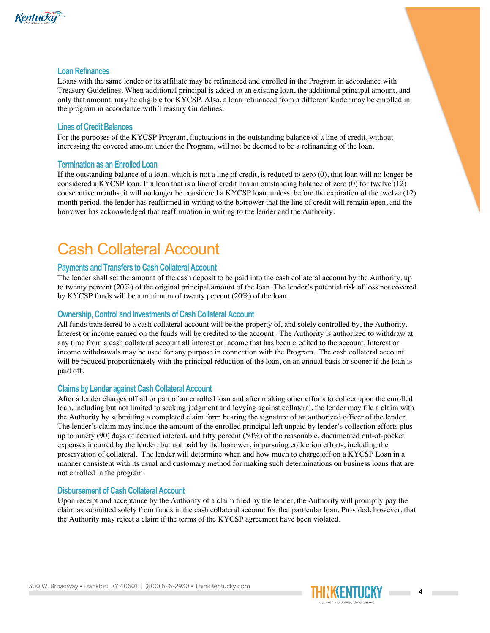

#### **Loan Refinances**

Loans with the same lender or its affiliate may be refinanced and enrolled in the Program in accordance with Treasury Guidelines. When additional principal is added to an existing loan, the additional principal amount, and only that amount, may be eligible for KYCSP. Also, a loan refinanced from a different lender may be enrolled in the program in accordance with Treasury Guidelines.

#### **Lines of Credit Balances**

For the purposes of the KYCSP Program, fluctuations in the outstanding balance of a line of credit, without increasing the covered amount under the Program, will not be deemed to be a refinancing of the loan.

#### **Termination as an Enrolled Loan**

If the outstanding balance of a loan, which is not a line of credit, is reduced to zero (0), that loan will no longer be considered a KYCSP loan. If a loan that is a line of credit has an outstanding balance of zero (0) for twelve (12) consecutive months, it will no longer be considered a KYCSP loan, unless, before the expiration of the twelve (12) month period, the lender has reaffirmed in writing to the borrower that the line of credit will remain open, and the borrower has acknowledged that reaffirmation in writing to the lender and the Authority.

## Cash Collateral Account

#### **Payments and Transfers to Cash Collateral Account**

The lender shall set the amount of the cash deposit to be paid into the cash collateral account by the Authority, up to twenty percent (20%) of the original principal amount of the loan. The lender's potential risk of loss not covered by KYCSP funds will be a minimum of twenty percent (20%) of the loan.

#### **Ownership, Control and Investments of Cash Collateral Account**

All funds transferred to a cash collateral account will be the property of, and solely controlled by, the Authority. Interest or income earned on the funds will be credited to the account. The Authority is authorized to withdraw at any time from a cash collateral account all interest or income that has been credited to the account. Interest or income withdrawals may be used for any purpose in connection with the Program. The cash collateral account will be reduced proportionately with the principal reduction of the loan, on an annual basis or sooner if the loan is paid off.

#### **Claims by Lender against Cash Collateral Account**

After a lender charges off all or part of an enrolled loan and after making other efforts to collect upon the enrolled loan, including but not limited to seeking judgment and levying against collateral, the lender may file a claim with the Authority by submitting a completed claim form bearing the signature of an authorized officer of the lender. The lender's claim may include the amount of the enrolled principal left unpaid by lender's collection efforts plus up to ninety (90) days of accrued interest, and fifty percent (50%) of the reasonable, documented out-of-pocket expenses incurred by the lender, but not paid by the borrower, in pursuing collection efforts, including the preservation of collateral. The lender will determine when and how much to charge off on a KYCSP Loan in a manner consistent with its usual and customary method for making such determinations on business loans that are not enrolled in the program.

#### **Disbursement of Cash Collateral Account**

Upon receipt and acceptance by the Authority of a claim filed by the lender, the Authority will promptly pay the claim as submitted solely from funds in the cash collateral account for that particular loan. Provided, however, that the Authority may reject a claim if the terms of the KYCSP agreement have been violated.

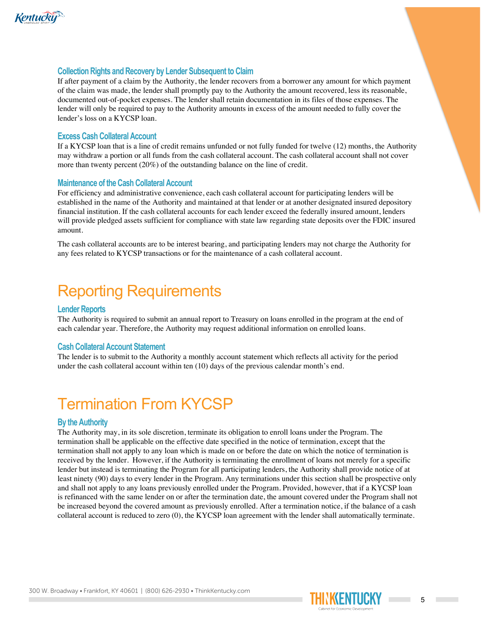

#### **Collection Rights and Recovery by Lender Subsequent to Claim**

If after payment of a claim by the Authority, the lender recovers from a borrower any amount for which payment of the claim was made, the lender shall promptly pay to the Authority the amount recovered, less its reasonable, documented out-of-pocket expenses. The lender shall retain documentation in its files of those expenses. The lender will only be required to pay to the Authority amounts in excess of the amount needed to fully cover the lender's loss on a KYCSP loan.

#### **Excess Cash Collateral Account**

If a KYCSP loan that is a line of credit remains unfunded or not fully funded for twelve (12) months, the Authority may withdraw a portion or all funds from the cash collateral account. The cash collateral account shall not cover more than twenty percent (20%) of the outstanding balance on the line of credit.

#### **Maintenance of the Cash Collateral Account**

For efficiency and administrative convenience, each cash collateral account for participating lenders will be established in the name of the Authority and maintained at that lender or at another designated insured depository financial institution. If the cash collateral accounts for each lender exceed the federally insured amount, lenders will provide pledged assets sufficient for compliance with state law regarding state deposits over the FDIC insured amount.

The cash collateral accounts are to be interest bearing, and participating lenders may not charge the Authority for any fees related to KYCSP transactions or for the maintenance of a cash collateral account.

### Reporting Requirements

#### **Lender Reports**

The Authority is required to submit an annual report to Treasury on loans enrolled in the program at the end of each calendar year. Therefore, the Authority may request additional information on enrolled loans.

#### **Cash Collateral Account Statement**

The lender is to submit to the Authority a monthly account statement which reflects all activity for the period under the cash collateral account within ten (10) days of the previous calendar month's end.

### Termination From KYCSP

#### **By the Authority**

The Authority may, in its sole discretion, terminate its obligation to enroll loans under the Program. The termination shall be applicable on the effective date specified in the notice of termination, except that the termination shall not apply to any loan which is made on or before the date on which the notice of termination is received by the lender. However, if the Authority is terminating the enrollment of loans not merely for a specific lender but instead is terminating the Program for all participating lenders, the Authority shall provide notice of at least ninety (90) days to every lender in the Program. Any terminations under this section shall be prospective only and shall not apply to any loans previously enrolled under the Program. Provided, however, that if a KYCSP loan is refinanced with the same lender on or after the termination date, the amount covered under the Program shall not be increased beyond the covered amount as previously enrolled. After a termination notice, if the balance of a cash collateral account is reduced to zero (0), the KYCSP loan agreement with the lender shall automatically terminate.

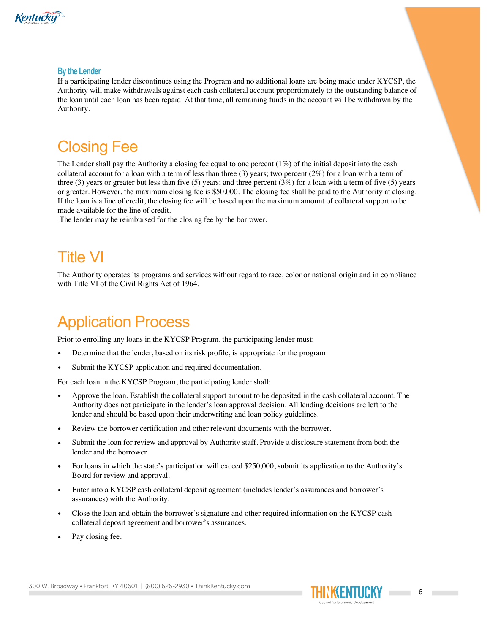

#### **By the Lender**

If a participating lender discontinues using the Program and no additional loans are being made under KYCSP, the Authority will make withdrawals against each cash collateral account proportionately to the outstanding balance of the loan until each loan has been repaid. At that time, all remaining funds in the account will be withdrawn by the Authority.

# Closing Fee

The Lender shall pay the Authority a closing fee equal to one percent  $(1\%)$  of the initial deposit into the cash collateral account for a loan with a term of less than three (3) years; two percent (2%) for a loan with a term of three (3) years or greater but less than five (5) years; and three percent (3%) for a loan with a term of five (5) years or greater. However, the maximum closing fee is \$50,000. The closing fee shall be paid to the Authority at closing. If the loan is a line of credit, the closing fee will be based upon the maximum amount of collateral support to be made available for the line of credit.

The lender may be reimbursed for the closing fee by the borrower.

# Title VI

The Authority operates its programs and services without regard to race, color or national origin and in compliance with Title VI of the Civil Rights Act of 1964.

### Application Process

Prior to enrolling any loans in the KYCSP Program, the participating lender must:

- Determine that the lender, based on its risk profile, is appropriate for the program.
- Submit the KYCSP application and required documentation.

For each loan in the KYCSP Program, the participating lender shall:

- Approve the loan. Establish the collateral support amount to be deposited in the cash collateral account. The Authority does not participate in the lender's loan approval decision. All lending decisions are left to the lender and should be based upon their underwriting and loan policy guidelines.
- Review the borrower certification and other relevant documents with the borrower.
- Submit the loan for review and approval by Authority staff. Provide a disclosure statement from both the lender and the borrower.
- For loans in which the state's participation will exceed \$250,000, submit its application to the Authority's Board for review and approval.
- Enter into a KYCSP cash collateral deposit agreement (includes lender's assurances and borrower's assurances) with the Authority.
- Close the loan and obtain the borrower's signature and other required information on the KYCSP cash collateral deposit agreement and borrower's assurances.
- Pay closing fee.